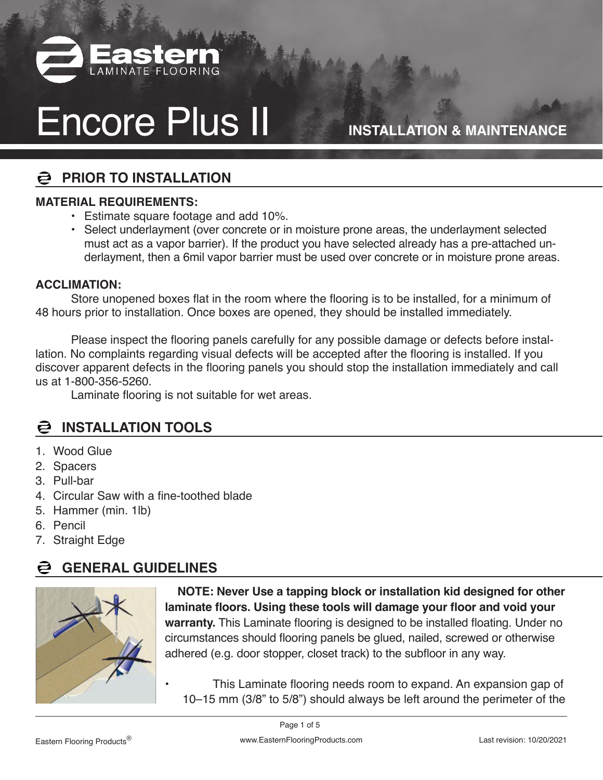

**INSTALLATION & MAINTENANCE**

### **PRIOR TO INSTALLATION**

#### **MATERIAL REQUIREMENTS:**

- Estimate square footage and add 10%.
- Select underlayment (over concrete or in moisture prone areas, the underlayment selected must act as a vapor barrier). If the product you have selected already has a pre-attached underlayment, then a 6mil vapor barrier must be used over concrete or in moisture prone areas.

#### **ACCLIMATION:**

 Store unopened boxes flat in the room where the flooring is to be installed, for a minimum of 48 hours prior to installation. Once boxes are opened, they should be installed immediately.

 Please inspect the flooring panels carefully for any possible damage or defects before installation. No complaints regarding visual defects will be accepted after the flooring is installed. If you discover apparent defects in the flooring panels you should stop the installation immediately and call us at 1-800-356-5260.

 Laminate flooring is not suitable for wet areas.

### **INSTALLATION TOOLS**

- 1. Wood Glue
- 2. Spacers
- 3. Pull-bar
- 4. Circular Saw with a fine-toothed blade
- 5. Hammer (min. 1lb)
- 6. Pencil
- 7. Straight Edge

#### **GENERAL GUIDELINES**



**NOTE: Never Use a tapping block or installation kid designed for other laminate floors. Using these tools will damage your floor and void your warranty.** This Laminate flooring is designed to be installed floating. Under no circumstances should flooring panels be glued, nailed, screwed or otherwise adhered (e.g. door stopper, closet track) to the subfloor in any way.

This Laminate flooring needs room to expand. An expansion gap of 10–15 mm (3/8" to 5/8") should always be left around the perimeter of the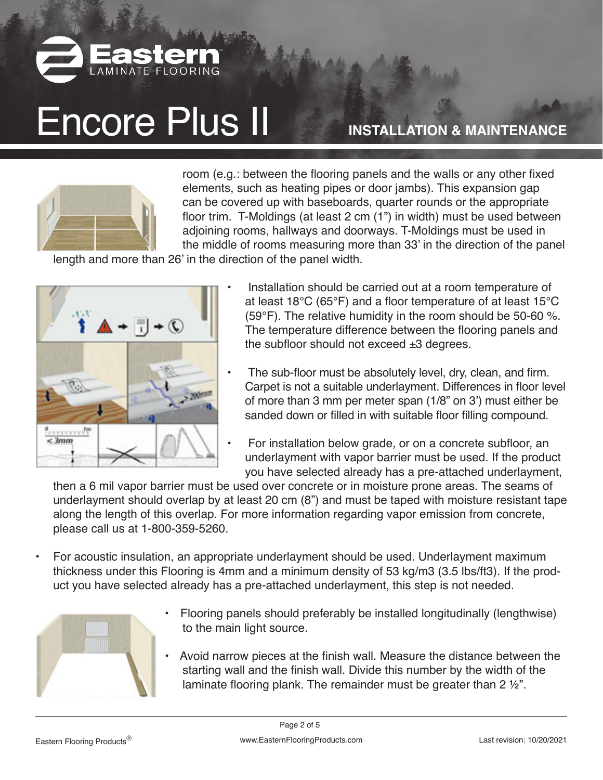

**INSTALLATION & MAINTENANCE**



room (e.g.: between the flooring panels and the walls or any other fixed elements, such as heating pipes or door jambs). This expansion gap can be covered up with baseboards, quarter rounds or the appropriate floor trim. T-Moldings (at least 2 cm (1") in width) must be used between adjoining rooms, hallways and doorways. T-Moldings must be used in the middle of rooms measuring more than 33' in the direction of the panel

length and more than 26' in the direction of the panel width.



- Installation should be carried out at a room temperature of at least 18°C (65°F) and a floor temperature of at least 15°C (59°F). The relative humidity in the room should be 50-60 %. The temperature difference between the flooring panels and the subfloor should not exceed  $\pm 3$  degrees.
- The sub-floor must be absolutely level, dry, clean, and firm. Carpet is not a suitable underlayment. Differences in floor level of more than 3 mm per meter span (1/8" on 3') must either be sanded down or filled in with suitable floor filling compound.
- For installation below grade, or on a concrete subfloor, an underlayment with vapor barrier must be used. If the product you have selected already has a pre-attached underlayment,

then a 6 mil vapor barrier must be used over concrete or in moisture prone areas. The seams of underlayment should overlap by at least 20 cm (8") and must be taped with moisture resistant tape along the length of this overlap. For more information regarding vapor emission from concrete, please call us at 1-800-359-5260.

• For acoustic insulation, an appropriate underlayment should be used. Underlayment maximum thickness under this Flooring is 4mm and a minimum density of 53 kg/m3 (3.5 lbs/ft3). If the product you have selected already has a pre-attached underlayment, this step is not needed.



- **•** Flooring panels should preferably be installed longitudinally (lengthwise) to the main light source.
- Avoid narrow pieces at the finish wall. Measure the distance between the starting wall and the finish wall. Divide this number by the width of the laminate flooring plank. The remainder must be greater than 2 ½".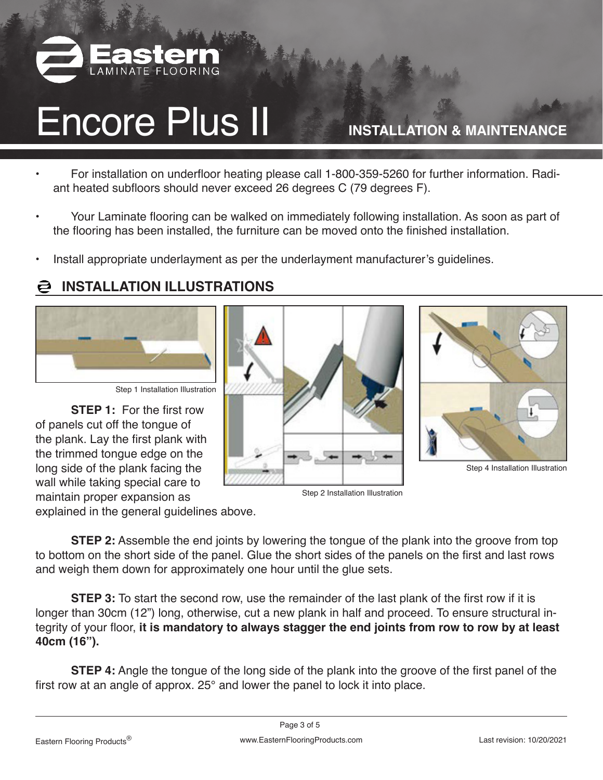

**INSTALLATION & MAINTENANCE**

- For installation on underfloor heating please call 1-800-359-5260 for further information. Radiant heated subfloors should never exceed 26 degrees C (79 degrees F).
- Your Laminate flooring can be walked on immediately following installation. As soon as part of the flooring has been installed, the furniture can be moved onto the finished installation.
- Install appropriate underlayment as per the underlayment manufacturer's guidelines.

### **INSTALLATION ILLUSTRATIONS**



Step 1 Installation Illustration

**STEP 1:** For the first row of panels cut off the tongue of the plank. Lay the first plank with the trimmed tongue edge on the long side of the plank facing the wall while taking special care to maintain proper expansion as

explained in the general guidelines above.

**STEP 2:** Assemble the end joints by lowering the tongue of the plank into the groove from top to bottom on the short side of the panel. Glue the short sides of the panels on the first and last rows and weigh them down for approximately one hour until the glue sets.

**STEP 3:** To start the second row, use the remainder of the last plank of the first row if it is longer than 30cm (12") long, otherwise, cut a new plank in half and proceed. To ensure structural integrity of your floor, **it is mandatory to always stagger the end joints from row to row by at least 40cm (16").**

**STEP 4:** Angle the tongue of the long side of the plank into the groove of the first panel of the first row at an angle of approx. 25° and lower the panel to lock it into place.



Step 2 Installation Illustration



Step 4 Installation Illustration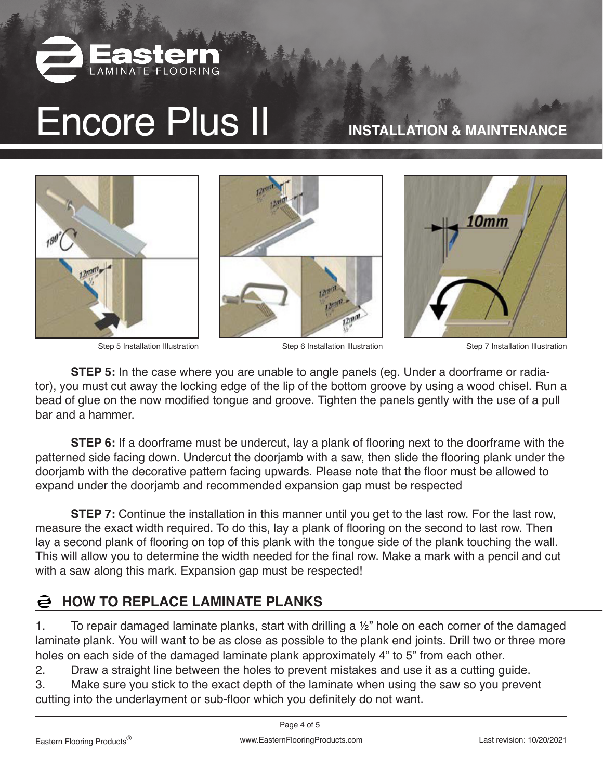

**INSTALLATION & MAINTENANCE**



Step 5 Installation Illustration Step 6 Installation Illustration Step 7 Installation Illustration

**STEP 5:** In the case where you are unable to angle panels (eg. Under a doorframe or radiator), you must cut away the locking edge of the lip of the bottom groove by using a wood chisel. Run a bead of glue on the now modified tongue and groove. Tighten the panels gently with the use of a pull bar and a hammer.

**STEP 6:** If a doorframe must be undercut, lay a plank of flooring next to the doorframe with the patterned side facing down. Undercut the doorjamb with a saw, then slide the flooring plank under the doorjamb with the decorative pattern facing upwards. Please note that the floor must be allowed to expand under the doorjamb and recommended expansion gap must be respected

**STEP 7:** Continue the installation in this manner until you get to the last row. For the last row, measure the exact width required. To do this, lay a plank of flooring on the second to last row. Then lay a second plank of flooring on top of this plank with the tongue side of the plank touching the wall. This will allow you to determine the width needed for the final row. Make a mark with a pencil and cut with a saw along this mark. Expansion gap must be respected!

#### **HOW TO REPLACE LAMINATE PLANKS**  $\boldsymbol{\Xi}$

1. To repair damaged laminate planks, start with drilling a 1/2" hole on each corner of the damaged laminate plank. You will want to be as close as possible to the plank end joints. Drill two or three more holes on each side of the damaged laminate plank approximately 4" to 5" from each other.

2. Draw a straight line between the holes to prevent mistakes and use it as a cutting guide.

3. Make sure you stick to the exact depth of the laminate when using the saw so you prevent cutting into the underlayment or sub-floor which you definitely do not want.